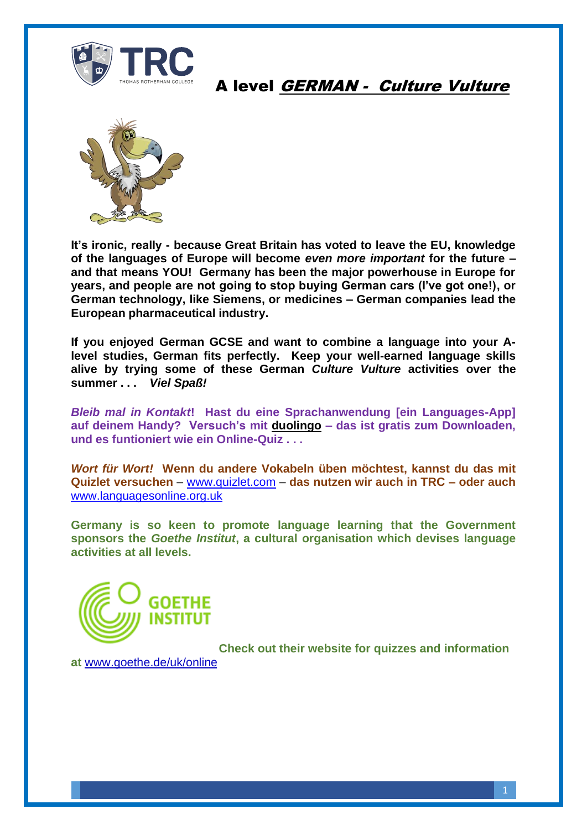

#### A level GERMAN - Culture Vulture



**It's ironic, really - because Great Britain has voted to leave the EU, knowledge of the languages of Europe will become** *even more important* **for the future – and that means YOU! Germany has been the major powerhouse in Europe for years, and people are not going to stop buying German cars (I've got one!), or German technology, like Siemens, or medicines – German companies lead the European pharmaceutical industry.** 

**If you enjoyed German GCSE and want to combine a language into your Alevel studies, German fits perfectly. Keep your well-earned language skills alive by trying some of these German** *Culture Vulture* **activities over the summer . . .** *Viel Spaß!*

*Bleib mal in Kontakt***! Hast du eine Sprachanwendung [ein Languages-App] auf deinem Handy? Versuch's mit duolingo – das ist gratis zum Downloaden, und es funtioniert wie ein Online-Quiz . . .**

*Wort für Wort!* **Wenn du andere Vokabeln üben möchtest, kannst du das mit Quizlet versuchen** – [www.quizlet.com](http://www.quizlet.com/) – **das nutzen wir auch in TRC – oder auch**  [www.languagesonline.org.uk](http://www.languagesonline.org.uk/)

**Germany is so keen to promote language learning that the Government sponsors the** *Goethe Institut***, a cultural organisation which devises language activities at all levels.**



**Check out their website for quizzes and information** 

**at** [www.goethe.de/uk/online](http://www.goethe.de/uk/online)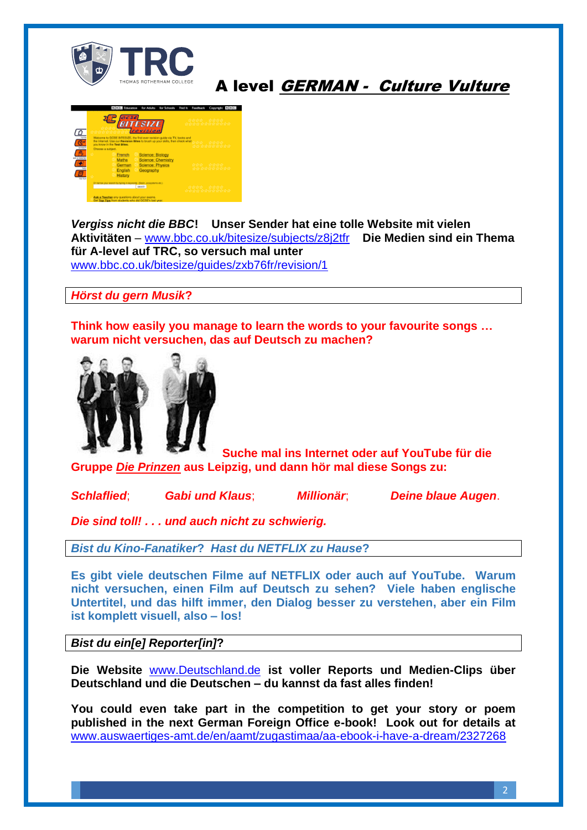

### A level GERMAN - Culture Vulture



*Vergiss nicht die BBC***! Unser Sender hat eine tolle Website mit vielen Aktivitäten** – [www.bbc.co.uk/bitesize/subjects/z8j2tfr](http://www.bbc.co.uk/bitesize/subjects/z8j2tfr) **Die Medien sind ein Thema für A-level auf TRC, so versuch mal unter** [www.bbc.co.uk/bitesize/guides/zxb76fr/revision/1](http://www.bbc.co.uk/bitesize/guides/zxb76fr/revision/1)

*Hörst du gern Musik***?** 

**Think how easily you manage to learn the words to your favourite songs … warum nicht versuchen, das auf Deutsch zu machen?** 



**Suche mal ins Internet oder auf YouTube für die Gruppe** *Die Prinzen* **aus Leipzig, und dann hör mal diese Songs zu:**

*Schlaflied*; *Gabi und Klaus*; *Millionär*; *Deine blaue Augen*.

*Die sind toll! . . . und auch nicht zu schwierig.*

*Bist du Kino-Fanatiker***?** *Hast du NETFLIX zu Hause***?**

**Es gibt viele deutschen Filme auf NETFLIX oder auch auf YouTube. Warum nicht versuchen, einen Film auf Deutsch zu sehen? Viele haben englische Untertitel, und das hilft immer, den Dialog besser zu verstehen, aber ein Film ist komplett visuell, also – los!**

*Bist du ein[e] Reporter[in]***?**

**Die Website** [www.Deutschland.de](http://www.deutschland.de/) **ist voller Reports und Medien-Clips über Deutschland und die Deutschen – du kannst da fast alles finden!**

**You could even take part in the competition to get your story or poem published in the next German Foreign Office e-book! Look out for details at**  [www.auswaertiges-amt.de/en/aamt/zugastimaa/aa-ebook-i-have-a-dream/2327268](http://www.auswaertiges-amt.de/en/aamt/zugastimaa/aa-ebook-i-have-a-dream/2327268)